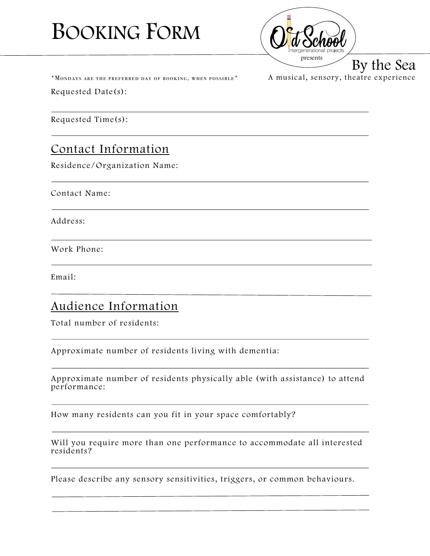# BOOKING FORM



A musical, sensory, theatre experience

 $*$  Mondays are the preferred day of booking, when possible  $*$ 

Requested Date(s):

Requested Time(s):

# Contact Information

Residence/Organization Name:

Contact Name:

Address:

Work Phone:

Email:

#### Audience Information

Total number of residents:

Approximate number of residents living with dementia:

Approximate number of residents physically able (with assistance) to attend performance:

How many residents can you fit in your space comfortably?

Will you require more than one performance to accommodate all interested residents?

Please describe any sensory sensitivities, triggers, or common behaviours.